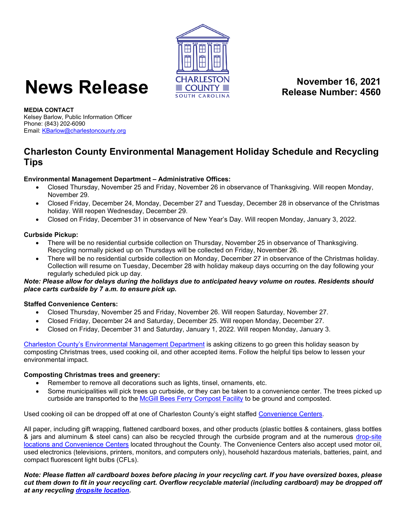

# **News Release ECUNTY Release Number 16, 2021**<br> **Release Number: 4560**

**Release Number: 4560**

**MEDIA CONTACT** Kelsey Barlow, Public Information Officer Phone: (843) 202-6090 Email[: KBarlow@charlestoncounty.org](mailto:KBarlow@charlestoncounty.org)

# **Charleston County Environmental Management Holiday Schedule and Recycling Tips**

# **Environmental Management Department – Administrative Offices:**

- Closed Thursday, November 25 and Friday, November 26 in observance of Thanksgiving. Will reopen Monday, November 29.
- Closed Friday, December 24, Monday, December 27 and Tuesday, December 28 in observance of the Christmas holiday. Will reopen Wednesday, December 29.
- Closed on Friday, December 31 in observance of New Year's Day. Will reopen Monday, January 3, 2022.

# **Curbside Pickup:**

- There will be no residential curbside collection on Thursday, November 25 in observance of Thanksgiving. Recycling normally picked up on Thursdays will be collected on Friday, November 26.
- There will be no residential curbside collection on Monday, December 27 in observance of the Christmas holiday. Collection will resume on Tuesday, December 28 with holiday makeup days occurring on the day following your regularly scheduled pick up day.

*Note: Please allow for delays during the holidays due to anticipated heavy volume on routes. Residents should place carts curbside by 7 a.m. to ensure pick up.*

# **Staffed Convenience Centers:**

- Closed Thursday, November 25 and Friday, November 26. Will reopen Saturday, November 27.
- Closed Friday, December 24 and Saturday, December 25. Will reopen Monday, December 27.
- Closed on Friday, December 31 and Saturday, January 1, 2022. Will reopen Monday, January 3.

[Charleston County's Environmental Management Department](http://www.charlestoncounty.org/departments/environmental-management/index.php) is asking citizens to go green this holiday season by composting Christmas trees, used cooking oil, and other accepted items. Follow the helpful tips below to lessen your environmental impact.

#### **Composting Christmas trees and greenery:**

- Remember to remove all decorations such as lights, tinsel, ornaments, etc.
- Some municipalities will pick trees up curbside, or they can be taken to a convenience center. The trees picked up curbside are transported to the [McGill Bees Ferry Compost Facility](http://www.charlestoncounty.org/departments/environmental-management/compost-program.php) to be ground and composted.

Used cooking oil can be dropped off at one of Charleston County's eight staffed [Convenience Centers.](http://www.charlestoncounty.org/departments/environmental-management/recycle-locations.php)

All paper, including gift wrapping, flattened cardboard boxes, and other products (plastic bottles & containers, glass bottles & jars and aluminum & steel cans) can also be recycled through the curbside program and at the numerous drop-site [locations and Convenience Centers](http://www.charlestoncounty.org/departments/environmental-management/recycle-locations.php) located throughout the County. The Convenience Centers also accept used motor oil, used electronics (televisions, printers, monitors, and computers only), household hazardous materials, batteries, paint, and compact fluorescent light bulbs (CFLs).

*Note: Please flatten all cardboard boxes before placing in your recycling cart. If you have oversized boxes, please cut them down to fit in your recycling cart. Overflow recyclable material (including cardboard) may be dropped off at any recycling [dropsite location.](https://www.charlestoncounty.org/departments/environmental-management/recycle-locations.php)*